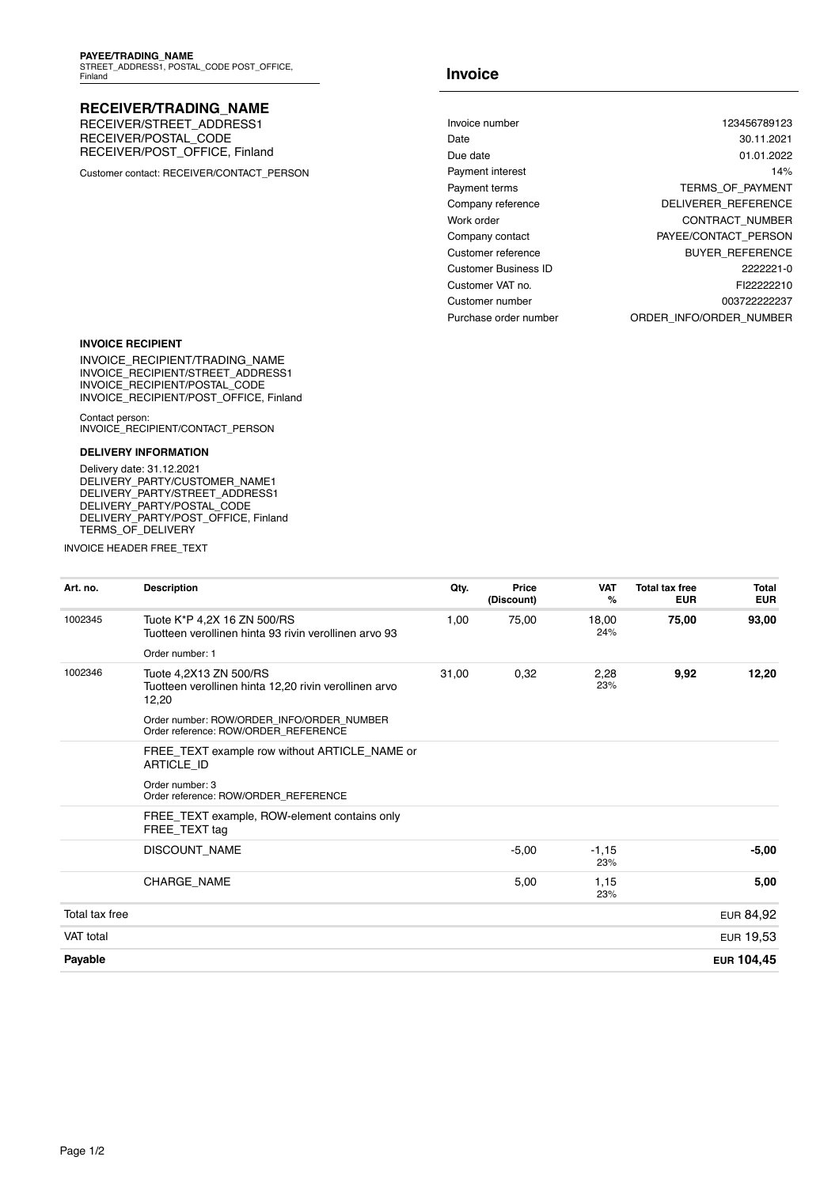## **RECEIVER/TRADING\_NAME**

RECEIVER/STREET\_ADDRESS1 RECEIVER/POSTAL\_CODE RECEIVER/POST\_OFFICE, Finland

Customer contact: RECEIVER/CONTACT\_PERSON

## **Invoice**

| Invoice number        | 123456789123               |
|-----------------------|----------------------------|
| Date                  | 30.11.2021                 |
| Due date              | 01.01.2022                 |
| Payment interest      | 14%                        |
| Payment terms         | <b>TERMS OF PAYMENT</b>    |
| Company reference     | <b>DELIVERER REFERENCE</b> |
| Work order            | <b>CONTRACT NUMBER</b>     |
| Company contact       | PAYEE/CONTACT PERSON       |
| Customer reference    | <b>BUYER REFERENCE</b>     |
| Customer Business ID  | 2222221-0                  |
| Customer VAT no.      | FI22222210                 |
| Customer number       | 003722222237               |
| Purchase order number | ORDER INFO/ORDER NUMBER    |

#### **INVOICE RECIPIENT**

INVOICE\_RECIPIENT/TRADING\_NAME INVOICE\_RECIPIENT/STREET\_ADDRESS1 INVOICE\_RECIPIENT/POSTAL\_CODE INVOICE\_RECIPIENT/POST\_OFFICE, Finland

Contact person: INVOICE\_RECIPIENT/CONTACT\_PERSON

### **DELIVERY INFORMATION**

Delivery date: 31.12.2021 DELIVERY\_PARTY/CUSTOMER\_NAME1 DELIVERY\_PARTY/STREET\_ADDRESS1 DELIVERY\_PARTY/POSTAL\_CODE DELIVERY\_PARTY/POST\_OFFICE, Finland TERMS\_OF\_DELIVERY

INVOICE HEADER FREE\_TEXT

| Art. no.       | <b>Description</b>                                                                       | Qty.  | Price      | <b>VAT</b>     | <b>Total tax free</b> | <b>Total</b> |
|----------------|------------------------------------------------------------------------------------------|-------|------------|----------------|-----------------------|--------------|
|                |                                                                                          |       | (Discount) | %              | <b>EUR</b>            | <b>EUR</b>   |
| 1002345        | Tuote K*P 4,2X 16 ZN 500/RS<br>Tuotteen verollinen hinta 93 rivin verollinen arvo 93     | 1,00  | 75,00      | 18,00<br>24%   | 75,00                 | 93,00        |
|                | Order number: 1                                                                          |       |            |                |                       |              |
| 1002346        | Tuote 4,2X13 ZN 500/RS<br>Tuotteen verollinen hinta 12,20 rivin verollinen arvo<br>12,20 | 31,00 | 0,32       | 2,28<br>23%    | 9,92                  | 12,20        |
|                | Order number: ROW/ORDER INFO/ORDER NUMBER<br>Order reference: ROW/ORDER REFERENCE        |       |            |                |                       |              |
|                | FREE_TEXT example row without ARTICLE_NAME or<br>ARTICLE ID                              |       |            |                |                       |              |
|                | Order number: 3<br>Order reference: ROW/ORDER REFERENCE                                  |       |            |                |                       |              |
|                | FREE_TEXT example, ROW-element contains only<br>FREE TEXT tag                            |       |            |                |                       |              |
|                | DISCOUNT_NAME                                                                            |       | $-5,00$    | $-1,15$<br>23% |                       | $-5,00$      |
|                | <b>CHARGE NAME</b>                                                                       |       | 5,00       | 1,15<br>23%    |                       | 5,00         |
| Total tax free |                                                                                          |       |            |                |                       | EUR 84,92    |
| VAT total      |                                                                                          |       |            |                |                       | EUR 19,53    |
| Payable        |                                                                                          |       |            |                |                       | EUR 104,45   |
|                |                                                                                          |       |            |                |                       |              |